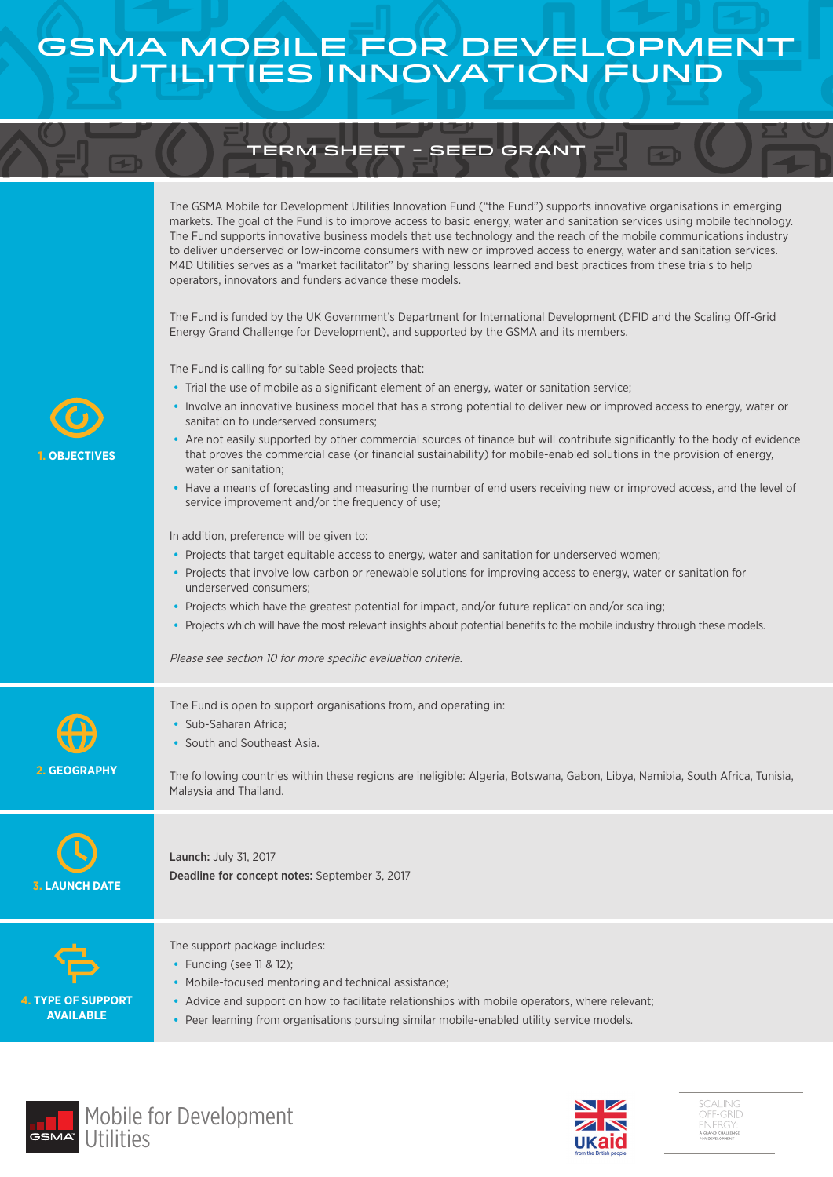## GSMA Mobile for Development Utilities Innovation Fund

### term sheet - Seed Grant

The GSMA Mobile for Development Utilities Innovation Fund ("the Fund") supports innovative organisations in emerging markets. The goal of the Fund is to improve access to basic energy, water and sanitation services using mobile technology. The Fund supports innovative business models that use technology and the reach of the mobile communications industry to deliver underserved or low-income consumers with new or improved access to energy, water and sanitation services. M4D Utilities serves as a "market facilitator" by sharing lessons learned and best practices from these trials to help operators, innovators and funders advance these models.

The Fund is funded by the UK Government's Department for International Development (DFID and the Scaling Off-Grid Energy Grand Challenge for Development), and supported by the GSMA and its members.

The Fund is calling for suitable Seed projects that:

- **•** Trial the use of mobile as a significant element of an energy, water or sanitation service;
- **•** Involve an innovative business model that has a strong potential to deliver new or improved access to energy, water or sanitation to underserved consumers;
- Are not easily supported by other commercial sources of finance but will contribute significantly to the body of evidence that proves the commercial case (or financial sustainability) for mobile-enabled solutions in the provision of energy, water or sanitation;
- **•** Have a means of forecasting and measuring the number of end users receiving new or improved access, and the level of service improvement and/or the frequency of use;

In addition, preference will be given to:

**1. OBJECTIVES**

- **•** Projects that target equitable access to energy, water and sanitation for underserved women;
- **•** Projects that involve low carbon or renewable solutions for improving access to energy, water or sanitation for underserved consumers;
- Projects which have the greatest potential for impact, and/or future replication and/or scaling;
- **•** Projects which will have the most relevant insights about potential benefits to the mobile industry through these models.

Please see section 10 for more specific evaluation criteria.

The Fund is open to support organisations from, and operating in: **•** Sub-Saharan Africa; **•** South and Southeast Asia. The following countries within these regions are ineligible: Algeria, Botswana, Gabon, Libya, Namibia, South Africa, Tunisia, Malaysia and Thailand. **2. GEOGRAPHY** Launch: July 31, 2017 Deadline for concept notes: September 3, 2017 **3. LAUNCH DATE** The support package includes: **•** Funding (see 11 & 12); **•** Mobile-focused mentoring and technical assistance; **•** Advice and support on how to facilitate relationships with mobile operators, where relevant; **4. TYPE OF SUPPORT AVAILABLE**

**•** Peer learning from organisations pursuing similar mobile-enabled utility service models.





SCALING OFF-GRID **ENFRG**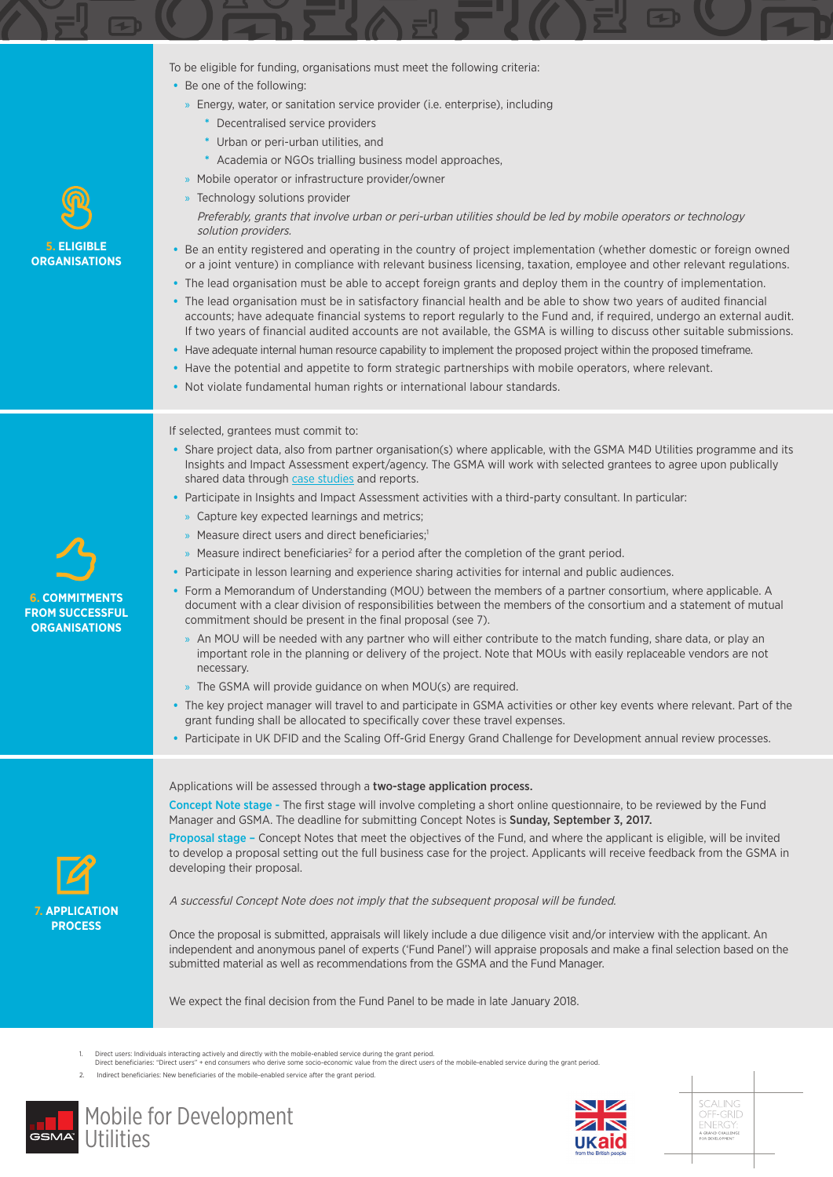To be eligible for funding, organisations must meet the following criteria:

- **•** Be one of the following:
	- » Energy, water, or sanitation service provider (i.e. enterprise), including
		- **\*** Decentralised service providers
		- **\*** Urban or peri-urban utilities, and
		- **\*** Academia or NGOs trialling business model approaches,
	- » Mobile operator or infrastructure provider/owner
- » Technology solutions provider Preferably, grants that involve urban or peri-urban utilities should be led by mobile operators or technology solution providers.
- **•** Be an entity registered and operating in the country of project implementation (whether domestic or foreign owned or a joint venture) in compliance with relevant business licensing, taxation, employee and other relevant regulations.
- **•** The lead organisation must be able to accept foreign grants and deploy them in the country of implementation.
- **•** The lead organisation must be in satisfactory financial health and be able to show two years of audited financial accounts; have adequate financial systems to report regularly to the Fund and, if required, undergo an external audit. If two years of financial audited accounts are not available, the GSMA is willing to discuss other suitable submissions.
- **•** Have adequate internal human resource capability to implement the proposed project within the proposed timeframe.
- **•** Have the potential and appetite to form strategic partnerships with mobile operators, where relevant.
- **•** Not violate fundamental human rights or international labour standards.

### If selected, grantees must commit to:

- **•** Share project data, also from partner organisation(s) where applicable, with the GSMA M4D Utilities programme and its Insights and Impact Assessment expert/agency. The GSMA will work with selected grantees to agree upon publically shared data through case studies and reports.
- **•** Participate in Insights and Impact Assessment activities with a third-party consultant. In particular:
	- » Capture key expected learnings and metrics;
	- » Measure direct users and direct beneficiaries;<sup>1</sup>
	- » Measure indirect beneficiaries<sup>2</sup> for a period after the completion of the grant period.
- **•** Participate in lesson learning and experience sharing activities for internal and public audiences.
- **•** Form a Memorandum of Understanding (MOU) between the members of a partner consortium, where applicable. A document with a clear division of responsibilities between the members of the consortium and a statement of mutual commitment should be present in the final proposal (see 7).
	- » An MOU will be needed with any partner who will either contribute to the match funding, share data, or play an important role in the planning or delivery of the project. Note that MOUs with easily replaceable vendors are not necessary.
	- » The GSMA will provide guidance on when MOU(s) are required.
- **•** The key project manager will travel to and participate in GSMA activities or other key events where relevant. Part of the grant funding shall be allocated to specifically cover these travel expenses.
- **•** Participate in UK DFID and the Scaling Off-Grid Energy Grand Challenge for Development annual review processes.

# **7. APPLICATION PROCESS**

### Applications will be assessed through a two-stage application process.

Concept Note stage - The first stage will involve completing a short online questionnaire, to be reviewed by the Fund Manager and GSMA. The deadline for submitting Concept Notes is Sunday, September 3, 2017.

Proposal stage – Concept Notes that meet the objectives of the Fund, and where the applicant is eligible, will be invited to develop a proposal setting out the full business case for the project. Applicants will receive feedback from the GSMA in developing their proposal.

### A successful Concept Note does not imply that the subsequent proposal will be funded.

Once the proposal is submitted, appraisals will likely include a due diligence visit and/or interview with the applicant. An independent and anonymous panel of experts ('Fund Panel') will appraise proposals and make a final selection based on the submitted material as well as recommendations from the GSMA and the Fund Manager.

We expect the final decision from the Fund Panel to be made in late January 2018.

<sup>2.</sup> Indirect beneficiaries: New beneficiaries of the mobile-enabled service after the grant period.









**5. ELIGIBLE ORGANISATIONS**

<sup>1.</sup> Direct users: Individuals interacting actively and directly with the mobile-enabled service during the grant period.<br>Direct beneficiaries: "Direct users" + end consumers who derive some socio-economic value from the dir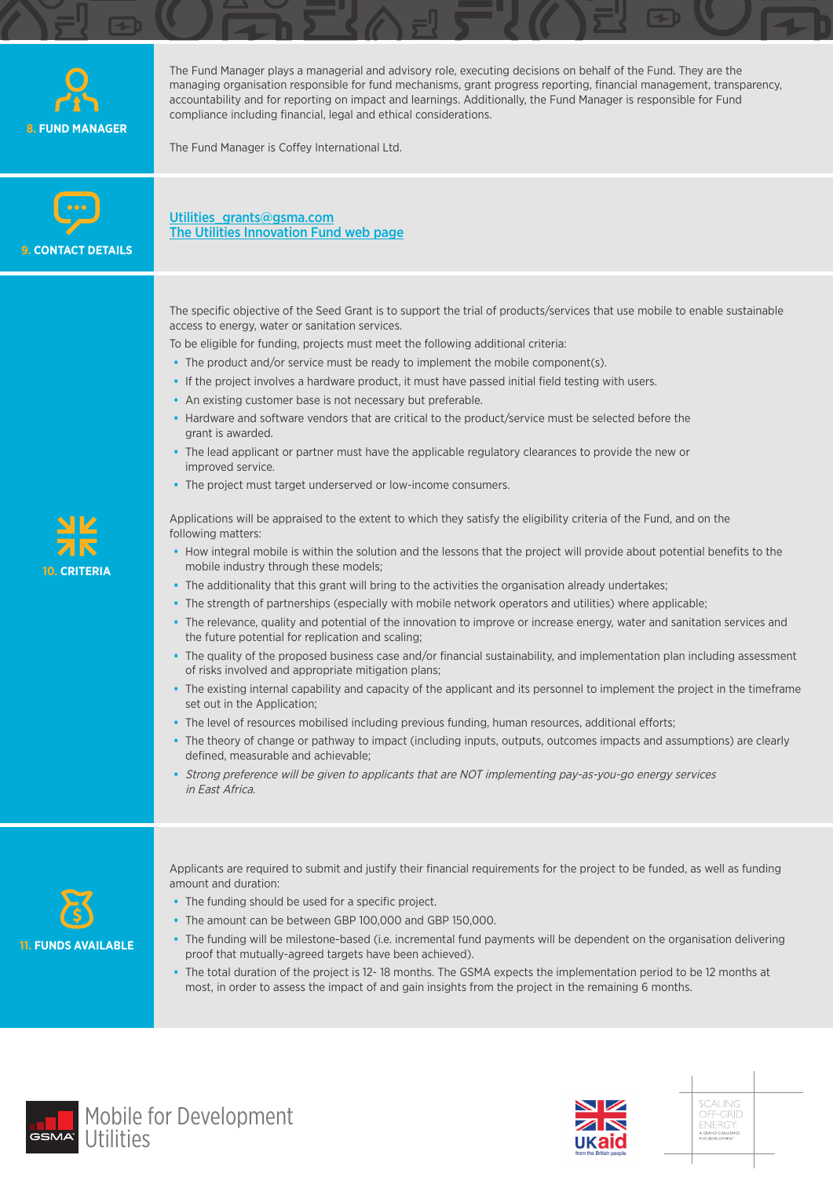

The Fund Manager plays a managerial and advisory role, executing decisions on behalf of the Fund. They are the managing organisation responsible for fund mechanisms, grant progress reporting, financial management, transparency, accountability and for reporting on impact and learnings. Additionally, the Fund Manager is responsible for Fund compliance including financial, legal and ethical considerations.

The Fund Manager is Coffey International Ltd.



**10. CRITERIA**

Utilities\_grants@gsma.com The Utilities Innovation Fund web page

The specific objective of the Seed Grant is to support the trial of products/services that use mobile to enable sustainable access to energy, water or sanitation services.

To be eligible for funding, projects must meet the following additional criteria:

- **•** The product and/or service must be ready to implement the mobile component(s).
- **•** If the project involves a hardware product, it must have passed initial field testing with users.
- **•** An existing customer base is not necessary but preferable.
- **•** Hardware and software vendors that are critical to the product/service must be selected before the grant is awarded.
- **•** The lead applicant or partner must have the applicable regulatory clearances to provide the new or improved service.
- **•** The project must target underserved or low-income consumers.

Applications will be appraised to the extent to which they satisfy the eligibility criteria of the Fund, and on the following matters:

- **•** How integral mobile is within the solution and the lessons that the project will provide about potential benefits to the mobile industry through these models;
- **•** The additionality that this grant will bring to the activities the organisation already undertakes;
- **•** The strength of partnerships (especially with mobile network operators and utilities) where applicable;
- **•** The relevance, quality and potential of the innovation to improve or increase energy, water and sanitation services and the future potential for replication and scaling;
- **•** The quality of the proposed business case and/or financial sustainability, and implementation plan including assessment of risks involved and appropriate mitigation plans;
- **•** The existing internal capability and capacity of the applicant and its personnel to implement the project in the timeframe set out in the Application;
- **•** The level of resources mobilised including previous funding, human resources, additional efforts;
- **•** The theory of change or pathway to impact (including inputs, outputs, outcomes impacts and assumptions) are clearly defined, measurable and achievable;
- **•** Strong preference will be given to applicants that are NOT implementing pay-as-you-go energy services in East Africa.



Applicants are required to submit and justify their financial requirements for the project to be funded, as well as funding amount and duration:

- **•** The funding should be used for a specific project.
- **•** The amount can be between GBP 100,000 and GBP 150,000.
- **•** The funding will be milestone-based (i.e. incremental fund payments will be dependent on the organisation delivering proof that mutually-agreed targets have been achieved).
- **•** The total duration of the project is 12- 18 months. The GSMA expects the implementation period to be 12 months at most, in order to assess the impact of and gain insights from the project in the remaining 6 months.





SCALING SCALING<br>OFF-GRID<br>ENERGY: